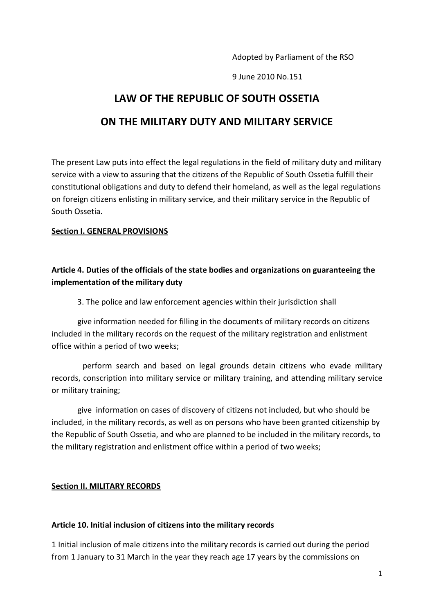Adopted by Parliament of the RSO

9 June 2010 No.151

# **LAW OF THE REPUBLIC OF SOUTH OSSETIA**

## **ON THE MILITARY DUTY AND MILITARY SERVICE**

The present Law puts into effect the legal regulations in the field of military duty and military service with a view to assuring that the citizens of the Republic of South Ossetia fulfill their constitutional obligations and duty to defend their homeland, as well as the legal regulations on foreign citizens enlisting in military service, and their military service in the Republic of South Ossetia.

#### **Section I. GENERAL PROVISIONS**

### **Article 4. Duties of the officials of the state bodies and organizations on guaranteeing the implementation of the military duty**

3. The police and law enforcement agencies within their jurisdiction shall

 give information needed for filling in the documents of military records on citizens included in the military records on the request of the military registration and enlistment office within a period of two weeks;

perform search and based on legal grounds detain citizens who evade military records, conscription into military service or military training, and attending military service or military training;

 give information on cases of discovery of citizens not included, but who should be included, in the military records, as well as on persons who have been granted citizenship by the Republic of South Ossetia, and who are planned to be included in the military records, to the military registration and enlistment office within a period of two weeks;

#### **Section II. MILITARY RECORDS**

#### **Article 10. Initial inclusion of citizens into the military records**

1 Initial inclusion of male citizens into the military records is carried out during the period from 1 January to 31 March in the year they reach age 17 years by the commissions on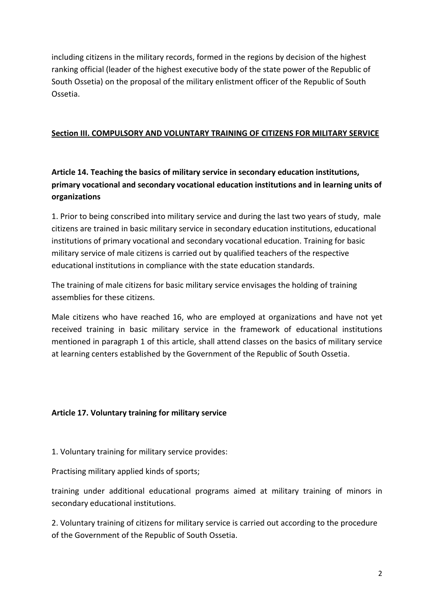including citizens in the military records, formed in the regions by decision of the highest ranking official (leader of the highest executive body of the state power of the Republic of South Ossetia) on the proposal of the military enlistment officer of the Republic of South Ossetia.

#### **Section III. COMPULSORY AND VOLUNTARY TRAINING OF CITIZENS FOR MILITARY SERVICE**

## **Article 14. Teaching the basics of military service in secondary education institutions, primary vocational and secondary vocational education institutions and in learning units of organizations**

1. Prior to being conscribed into military service and during the last two years of study, male citizens are trained in basic military service in secondary education institutions, educational institutions of primary vocational and secondary vocational education. Training for basic military service of male citizens is carried out by qualified teachers of the respective educational institutions in compliance with the state education standards.

The training of male citizens for basic military service envisages the holding of training assemblies for these citizens.

Male citizens who have reached 16, who are employed at organizations and have not yet received training in basic military service in the framework of educational institutions mentioned in paragraph 1 of this article, shall attend classes on the basics of military service at learning centers established by the Government of the Republic of South Ossetia.

### **Article 17. Voluntary training for military service**

1. Voluntary training for military service provides:

Practising military applied kinds of sports;

training under additional educational programs aimed at military training of minors in secondary educational institutions.

2. Voluntary training of citizens for military service is carried out according to the procedure of the Government of the Republic of South Ossetia.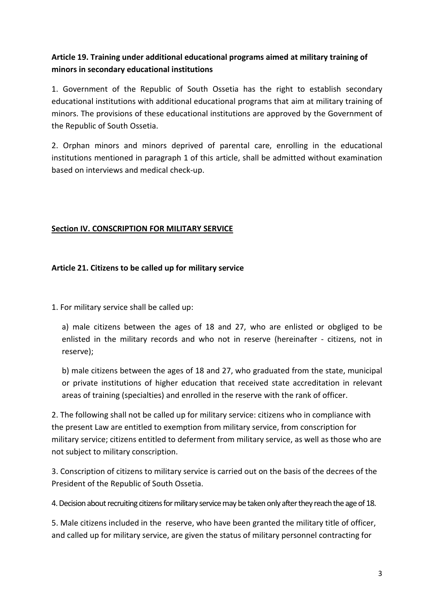### **Article 19. Training under additional educational programs aimed at military training of minors in secondary educational institutions**

1. Government of the Republic of South Ossetia has the right to establish secondary educational institutions with additional educational programs that aim at military training of minors. The provisions of these educational institutions are approved by the Government of the Republic of South Ossetia.

2. Orphan minors and minors deprived of parental care, enrolling in the educational institutions mentioned in paragraph 1 of this article, shall be admitted without examination based on interviews and medical check-up.

### **Section IV. CONSCRIPTION FOR MILITARY SERVICE**

### **Article 21. Citizens to be called up for military service**

1. For military service shall be called up:

a) male citizens between the ages of 18 and 27, who are enlisted or obgliged to be enlisted in the military records and who not in reserve (hereinafter - citizens, not in reserve);

b) male citizens between the ages of 18 and 27, who graduated from the state, municipal or private institutions of higher education that received state accreditation in relevant areas of training (specialties) and enrolled in the reserve with the rank of officer.

2. The following shall not be called up for military service: citizens who in compliance with the present Law are entitled to exemption from military service, from conscription for military service; citizens entitled to deferment from military service, as well as those who are not subject to military conscription.

3. Conscription of citizens to military service is carried out on the basis of the decrees of the President of the Republic of South Ossetia.

4. Decision about recruiting citizens for military service may be taken only after they reach the age of 18.

5. Male citizens included in the reserve, who have been granted the military title of officer, and called up for military service, are given the status of military personnel contracting for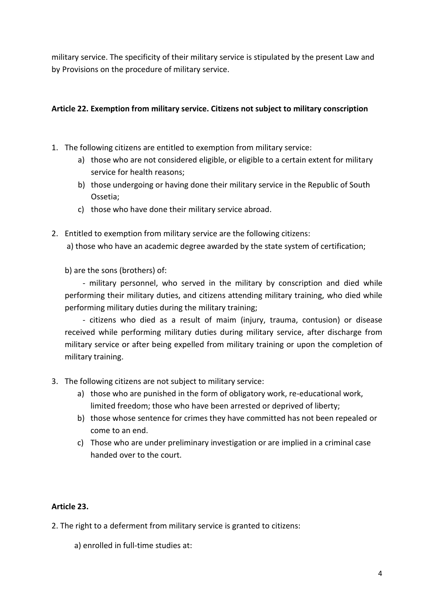military service. The specificity of their military service is stipulated by the present Law and by Provisions on the procedure of military service.

### **Article 22. Exemption from military service. Citizens not subject to military conscription**

- 1. The following citizens are entitled to exemption from military service:
	- a) those who are not considered eligible, or eligible to a certain extent for military service for health reasons;
	- b) those undergoing or having done their military service in the Republic of South Ossetia;
	- c) those who have done their military service abroad.
- 2. Entitled to exemption from military service are the following citizens: a) those who have an academic degree awarded by the state system of certification;

b) are the sons (brothers) of:

- military personnel, who served in the military by conscription and died while performing their military duties, and citizens attending military training, who died while performing military duties during the military training;

- citizens who died as a result of maim (injury, trauma, contusion) or disease received while performing military duties during military service, after discharge from military service or after being expelled from military training or upon the completion of military training.

- 3. The following citizens are not subject to military service:
	- a) those who are punished in the form of obligatory work, re-educational work, limited freedom; those who have been arrested or deprived of liberty;
	- b) those whose sentence for crimes they have committed has not been repealed or come to an end.
	- c) Those who are under preliminary investigation or are implied in a criminal case handed over to the court.

### **Article 23.**

2. The right to a deferment from military service is granted to citizens:

a) enrolled in full-time studies at: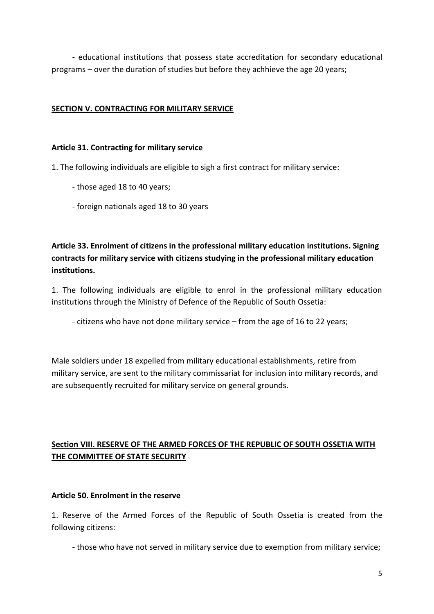- educational institutions that possess state accreditation for secondary educational programs – over the duration of studies but before they achhieve the age 20 years;

#### **SECTION V. CONTRACTING FOR MILITARY SERVICE**

#### **Article 31. Contracting for military service**

1. The following individuals are eligible to sigh a first contract for military service:

- those aged 18 to 40 years;
- foreign nationals aged 18 to 30 years

**Article 33. Enrolment of citizens in the professional military education institutions. Signing contracts for military service with citizens studying in the professional military education institutions.** 

1. The following individuals are eligible to enrol in the professional military education institutions through the Ministry of Defence of the Republic of South Ossetia:

- citizens who have not done military service – from the age of 16 to 22 years;

Male soldiers under 18 expelled from military educational establishments, retire from military service, are sent to the military commissariat for inclusion into military records, and are subsequently recruited for military service on general grounds.

## **Section VIII. RESERVE OF THE ARMED FORCES OF THE REPUBLIC OF SOUTH OSSETIA WITH THE COMMITTEE OF STATE SECURITY**

#### **Article 50. Enrolment in the reserve**

1. Reserve of the Armed Forces of the Republic of South Ossetia is created from the following citizens:

- those who have not served in military service due to exemption from military service;